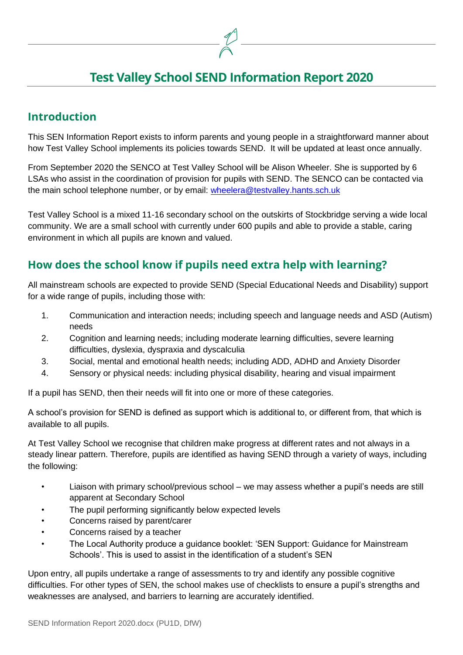# **Test Valley School SEND Information Report 2020**

### **Introduction**

This SEN Information Report exists to inform parents and young people in a straightforward manner about how Test Valley School implements its policies towards SEND. It will be updated at least once annually.

From September 2020 the SENCO at Test Valley School will be Alison Wheeler. She is supported by 6 LSAs who assist in the coordination of provision for pupils with SEND. The SENCO can be contacted via the main school telephone number, or by email: [wheelera@testvalley.hants.sch.uk](mailto:wheelera@testvalley.hants.sch.uk)

Test Valley School is a mixed 11-16 secondary school on the outskirts of Stockbridge serving a wide local community. We are a small school with currently under 600 pupils and able to provide a stable, caring environment in which all pupils are known and valued.

### **How does the school know if pupils need extra help with learning?**

All mainstream schools are expected to provide SEND (Special Educational Needs and Disability) support for a wide range of pupils, including those with:

- 1. Communication and interaction needs; including speech and language needs and ASD (Autism) needs
- 2. Cognition and learning needs; including moderate learning difficulties, severe learning difficulties, dyslexia, dyspraxia and dyscalculia
- 3. Social, mental and emotional health needs; including ADD, ADHD and Anxiety Disorder
- 4. Sensory or physical needs: including physical disability, hearing and visual impairment

If a pupil has SEND, then their needs will fit into one or more of these categories.

A school's provision for SEND is defined as support which is additional to, or different from, that which is available to all pupils.

At Test Valley School we recognise that children make progress at different rates and not always in a steady linear pattern. Therefore, pupils are identified as having SEND through a variety of ways, including the following:

- Liaison with primary school/previous school we may assess whether a pupil's needs are still apparent at Secondary School
- The pupil performing significantly below expected levels
- Concerns raised by parent/carer
- Concerns raised by a teacher
- The Local Authority produce a guidance booklet: 'SEN Support: Guidance for Mainstream Schools'. This is used to assist in the identification of a student's SEN

Upon entry, all pupils undertake a range of assessments to try and identify any possible cognitive difficulties. For other types of SEN, the school makes use of checklists to ensure a pupil's strengths and weaknesses are analysed, and barriers to learning are accurately identified.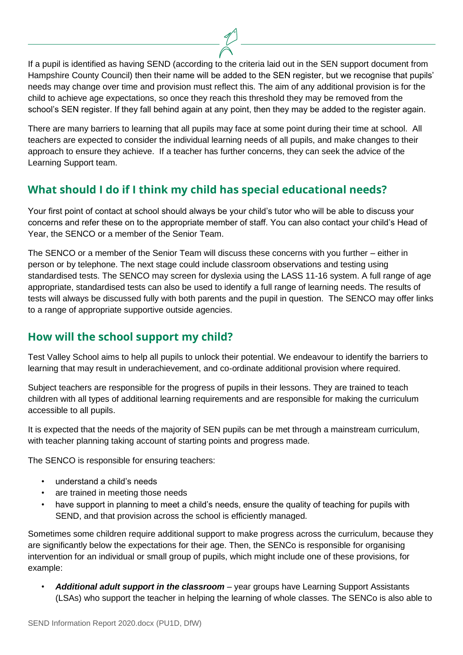If a pupil is identified as having SEND (according to the criteria laid out in the SEN support document from Hampshire County Council) then their name will be added to the SEN register, but we recognise that pupils' needs may change over time and provision must reflect this. The aim of any additional provision is for the child to achieve age expectations, so once they reach this threshold they may be removed from the school's SEN register. If they fall behind again at any point, then they may be added to the register again.

There are many barriers to learning that all pupils may face at some point during their time at school. All teachers are expected to consider the individual learning needs of all pupils, and make changes to their approach to ensure they achieve. If a teacher has further concerns, they can seek the advice of the Learning Support team.

### **What should I do if I think my child has special educational needs?**

Your first point of contact at school should always be your child's tutor who will be able to discuss your concerns and refer these on to the appropriate member of staff. You can also contact your child's Head of Year, the SENCO or a member of the Senior Team.

The SENCO or a member of the Senior Team will discuss these concerns with you further – either in person or by telephone. The next stage could include classroom observations and testing using standardised tests. The SENCO may screen for dyslexia using the LASS 11-16 system. A full range of age appropriate, standardised tests can also be used to identify a full range of learning needs. The results of tests will always be discussed fully with both parents and the pupil in question. The SENCO may offer links to a range of appropriate supportive outside agencies.

### **How will the school support my child?**

Test Valley School aims to help all pupils to unlock their potential. We endeavour to identify the barriers to learning that may result in underachievement, and co-ordinate additional provision where required.

Subject teachers are responsible for the progress of pupils in their lessons. They are trained to teach children with all types of additional learning requirements and are responsible for making the curriculum accessible to all pupils.

It is expected that the needs of the majority of SEN pupils can be met through a mainstream curriculum, with teacher planning taking account of starting points and progress made.

The SENCO is responsible for ensuring teachers:

- understand a child's needs
- are trained in meeting those needs
- have support in planning to meet a child's needs, ensure the quality of teaching for pupils with SEND, and that provision across the school is efficiently managed.

Sometimes some children require additional support to make progress across the curriculum, because they are significantly below the expectations for their age. Then, the SENCo is responsible for organising intervention for an individual or small group of pupils, which might include one of these provisions, for example:

• *Additional adult support in the classroom* – year groups have Learning Support Assistants (LSAs) who support the teacher in helping the learning of whole classes. The SENCo is also able to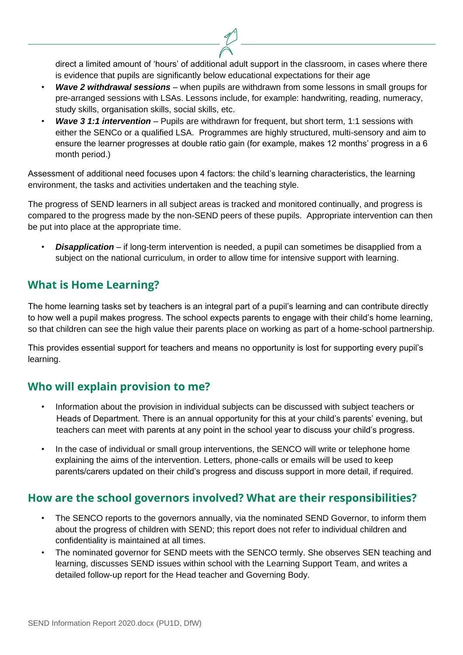direct a limited amount of 'hours' of additional adult support in the classroom, in cases where there is evidence that pupils are significantly below educational expectations for their age

- *Wave 2 withdrawal sessions* when pupils are withdrawn from some lessons in small groups for pre-arranged sessions with LSAs. Lessons include, for example: handwriting, reading, numeracy, study skills, organisation skills, social skills, etc.
- *Wave 3 1:1 intervention* Pupils are withdrawn for frequent, but short term, 1:1 sessions with either the SENCo or a qualified LSA. Programmes are highly structured, multi-sensory and aim to ensure the learner progresses at double ratio gain (for example, makes 12 months' progress in a 6 month period.)

Assessment of additional need focuses upon 4 factors: the child's learning characteristics, the learning environment, the tasks and activities undertaken and the teaching style.

The progress of SEND learners in all subject areas is tracked and monitored continually, and progress is compared to the progress made by the non-SEND peers of these pupils. Appropriate intervention can then be put into place at the appropriate time.

• *Disapplication* – if long-term intervention is needed, a pupil can sometimes be disapplied from a subject on the national curriculum, in order to allow time for intensive support with learning.

### **What is Home Learning?**

The home learning tasks set by teachers is an integral part of a pupil's learning and can contribute directly to how well a pupil makes progress. The school expects parents to engage with their child's home learning, so that children can see the high value their parents place on working as part of a home-school partnership.

This provides essential support for teachers and means no opportunity is lost for supporting every pupil's learning.

#### **Who will explain provision to me?**

- Information about the provision in individual subjects can be discussed with subject teachers or Heads of Department. There is an annual opportunity for this at your child's parents' evening, but teachers can meet with parents at any point in the school year to discuss your child's progress.
- In the case of individual or small group interventions, the SENCO will write or telephone home explaining the aims of the intervention. Letters, phone-calls or emails will be used to keep parents/carers updated on their child's progress and discuss support in more detail, if required.

### **How are the school governors involved? What are their responsibilities?**

- The SENCO reports to the governors annually, via the nominated SEND Governor, to inform them about the progress of children with SEND; this report does not refer to individual children and confidentiality is maintained at all times.
- The nominated governor for SEND meets with the SENCO termly. She observes SEN teaching and learning, discusses SEND issues within school with the Learning Support Team, and writes a detailed follow-up report for the Head teacher and Governing Body.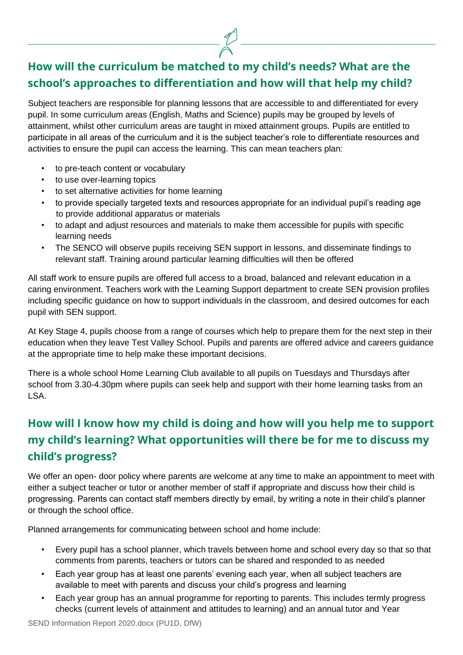# **How will the curriculum be matched to my child's needs? What are the school's approaches to differentiation and how will that help my child?**

Subject teachers are responsible for planning lessons that are accessible to and differentiated for every pupil. In some curriculum areas (English, Maths and Science) pupils may be grouped by levels of attainment, whilst other curriculum areas are taught in mixed attainment groups. Pupils are entitled to participate in all areas of the curriculum and it is the subject teacher's role to differentiate resources and activities to ensure the pupil can access the learning. This can mean teachers plan:

- to pre-teach content or vocabulary
- to use over-learning topics
- to set alternative activities for home learning
- to provide specially targeted texts and resources appropriate for an individual pupil's reading age to provide additional apparatus or materials
- to adapt and adjust resources and materials to make them accessible for pupils with specific learning needs
- The SENCO will observe pupils receiving SEN support in lessons, and disseminate findings to relevant staff. Training around particular learning difficulties will then be offered

All staff work to ensure pupils are offered full access to a broad, balanced and relevant education in a caring environment. Teachers work with the Learning Support department to create SEN provision profiles including specific guidance on how to support individuals in the classroom, and desired outcomes for each pupil with SEN support.

At Key Stage 4, pupils choose from a range of courses which help to prepare them for the next step in their education when they leave Test Valley School. Pupils and parents are offered advice and careers guidance at the appropriate time to help make these important decisions.

There is a whole school Home Learning Club available to all pupils on Tuesdays and Thursdays after school from 3.30-4.30pm where pupils can seek help and support with their home learning tasks from an LSA.

## **How will I know how my child is doing and how will you help me to support my child's learning? What opportunities will there be for me to discuss my child's progress?**

We offer an open- door policy where parents are welcome at any time to make an appointment to meet with either a subject teacher or tutor or another member of staff if appropriate and discuss how their child is progressing. Parents can contact staff members directly by email, by writing a note in their child's planner or through the school office.

Planned arrangements for communicating between school and home include:

- Every pupil has a school planner, which travels between home and school every day so that so that comments from parents, teachers or tutors can be shared and responded to as needed
- Each year group has at least one parents' evening each year, when all subject teachers are available to meet with parents and discuss your child's progress and learning
- Each year group has an annual programme for reporting to parents. This includes termly progress checks (current levels of attainment and attitudes to learning) and an annual tutor and Year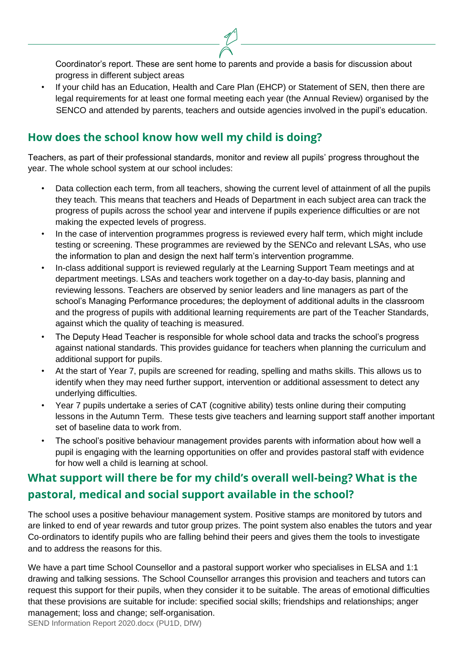Coordinator's report. These are sent home to parents and provide a basis for discussion about progress in different subject areas

If your child has an Education, Health and Care Plan (EHCP) or Statement of SEN, then there are legal requirements for at least one formal meeting each year (the Annual Review) organised by the SENCO and attended by parents, teachers and outside agencies involved in the pupil's education.

### **How does the school know how well my child is doing?**

Teachers, as part of their professional standards, monitor and review all pupils' progress throughout the year. The whole school system at our school includes:

- Data collection each term, from all teachers, showing the current level of attainment of all the pupils they teach. This means that teachers and Heads of Department in each subject area can track the progress of pupils across the school year and intervene if pupils experience difficulties or are not making the expected levels of progress.
- In the case of intervention programmes progress is reviewed every half term, which might include testing or screening. These programmes are reviewed by the SENCo and relevant LSAs, who use the information to plan and design the next half term's intervention programme.
- In-class additional support is reviewed regularly at the Learning Support Team meetings and at department meetings. LSAs and teachers work together on a day-to-day basis, planning and reviewing lessons. Teachers are observed by senior leaders and line managers as part of the school's Managing Performance procedures; the deployment of additional adults in the classroom and the progress of pupils with additional learning requirements are part of the Teacher Standards, against which the quality of teaching is measured.
- The Deputy Head Teacher is responsible for whole school data and tracks the school's progress against national standards. This provides guidance for teachers when planning the curriculum and additional support for pupils.
- At the start of Year 7, pupils are screened for reading, spelling and maths skills. This allows us to identify when they may need further support, intervention or additional assessment to detect any underlying difficulties.
- Year 7 pupils undertake a series of CAT (cognitive ability) tests online during their computing lessons in the Autumn Term. These tests give teachers and learning support staff another important set of baseline data to work from.
- The school's positive behaviour management provides parents with information about how well a pupil is engaging with the learning opportunities on offer and provides pastoral staff with evidence for how well a child is learning at school.

## **What support will there be for my child's overall well-being? What is the pastoral, medical and social support available in the school?**

The school uses a positive behaviour management system. Positive stamps are monitored by tutors and are linked to end of year rewards and tutor group prizes. The point system also enables the tutors and year Co-ordinators to identify pupils who are falling behind their peers and gives them the tools to investigate and to address the reasons for this.

SEND Information Report 2020.docx (PU1D, DfW) We have a part time School Counsellor and a pastoral support worker who specialises in ELSA and 1:1 drawing and talking sessions. The School Counsellor arranges this provision and teachers and tutors can request this support for their pupils, when they consider it to be suitable. The areas of emotional difficulties that these provisions are suitable for include: specified social skills; friendships and relationships; anger management; loss and change; self-organisation.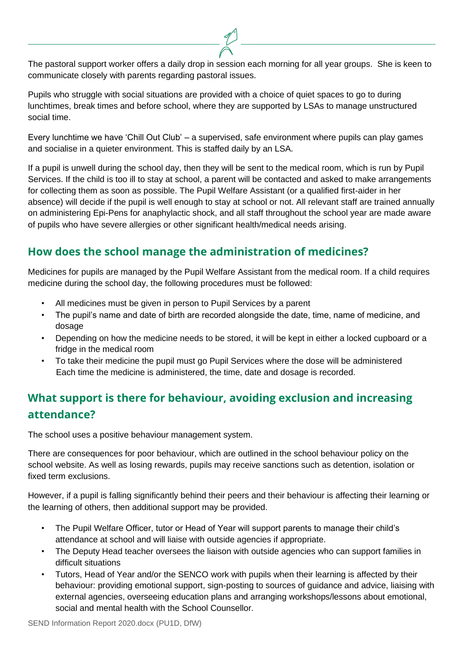The pastoral support worker offers a daily drop in session each morning for all year groups. She is keen to communicate closely with parents regarding pastoral issues.

Pupils who struggle with social situations are provided with a choice of quiet spaces to go to during lunchtimes, break times and before school, where they are supported by LSAs to manage unstructured social time.

Every lunchtime we have 'Chill Out Club' – a supervised, safe environment where pupils can play games and socialise in a quieter environment. This is staffed daily by an LSA.

If a pupil is unwell during the school day, then they will be sent to the medical room, which is run by Pupil Services. If the child is too ill to stay at school, a parent will be contacted and asked to make arrangements for collecting them as soon as possible. The Pupil Welfare Assistant (or a qualified first-aider in her absence) will decide if the pupil is well enough to stay at school or not. All relevant staff are trained annually on administering Epi-Pens for anaphylactic shock, and all staff throughout the school year are made aware of pupils who have severe allergies or other significant health/medical needs arising.

### **How does the school manage the administration of medicines?**

Medicines for pupils are managed by the Pupil Welfare Assistant from the medical room. If a child requires medicine during the school day, the following procedures must be followed:

- All medicines must be given in person to Pupil Services by a parent
- The pupil's name and date of birth are recorded alongside the date, time, name of medicine, and dosage
- Depending on how the medicine needs to be stored, it will be kept in either a locked cupboard or a fridge in the medical room
- To take their medicine the pupil must go Pupil Services where the dose will be administered Each time the medicine is administered, the time, date and dosage is recorded.

## **What support is there for behaviour, avoiding exclusion and increasing attendance?**

The school uses a positive behaviour management system.

There are consequences for poor behaviour, which are outlined in the school behaviour policy on the school website. As well as losing rewards, pupils may receive sanctions such as detention, isolation or fixed term exclusions.

However, if a pupil is falling significantly behind their peers and their behaviour is affecting their learning or the learning of others, then additional support may be provided.

- The Pupil Welfare Officer, tutor or Head of Year will support parents to manage their child's attendance at school and will liaise with outside agencies if appropriate.
- The Deputy Head teacher oversees the liaison with outside agencies who can support families in difficult situations
- Tutors, Head of Year and/or the SENCO work with pupils when their learning is affected by their behaviour: providing emotional support, sign-posting to sources of guidance and advice, liaising with external agencies, overseeing education plans and arranging workshops/lessons about emotional, social and mental health with the School Counsellor.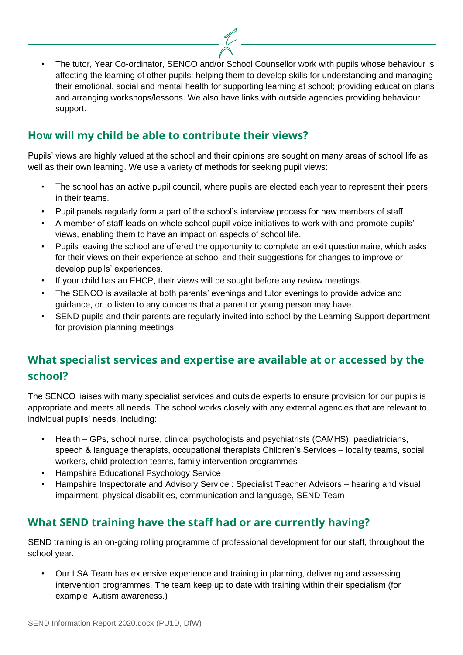• The tutor, Year Co-ordinator, SENCO and/or School Counsellor work with pupils whose behaviour is affecting the learning of other pupils: helping them to develop skills for understanding and managing their emotional, social and mental health for supporting learning at school; providing education plans and arranging workshops/lessons. We also have links with outside agencies providing behaviour support.

### **How will my child be able to contribute their views?**

Pupils' views are highly valued at the school and their opinions are sought on many areas of school life as well as their own learning. We use a variety of methods for seeking pupil views:

- The school has an active pupil council, where pupils are elected each year to represent their peers in their teams.
- Pupil panels regularly form a part of the school's interview process for new members of staff.
- A member of staff leads on whole school pupil voice initiatives to work with and promote pupils' views, enabling them to have an impact on aspects of school life.
- Pupils leaving the school are offered the opportunity to complete an exit questionnaire, which asks for their views on their experience at school and their suggestions for changes to improve or develop pupils' experiences.
- If your child has an EHCP, their views will be sought before any review meetings.
- The SENCO is available at both parents' evenings and tutor evenings to provide advice and guidance, or to listen to any concerns that a parent or young person may have.
- SEND pupils and their parents are regularly invited into school by the Learning Support department for provision planning meetings

## **What specialist services and expertise are available at or accessed by the school?**

The SENCO liaises with many specialist services and outside experts to ensure provision for our pupils is appropriate and meets all needs. The school works closely with any external agencies that are relevant to individual pupils' needs, including:

- Health GPs, school nurse, clinical psychologists and psychiatrists (CAMHS), paediatricians, speech & language therapists, occupational therapists Children's Services – locality teams, social workers, child protection teams, family intervention programmes
- Hampshire Educational Psychology Service
- Hampshire Inspectorate and Advisory Service : Specialist Teacher Advisors hearing and visual impairment, physical disabilities, communication and language, SEND Team

### **What SEND training have the staff had or are currently having?**

SEND training is an on-going rolling programme of professional development for our staff, throughout the school year.

• Our LSA Team has extensive experience and training in planning, delivering and assessing intervention programmes. The team keep up to date with training within their specialism (for example, Autism awareness.)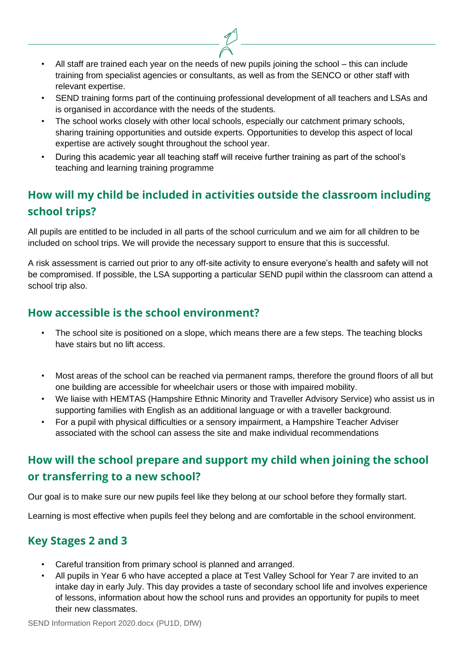- All staff are trained each year on the needs of new pupils joining the school this can include training from specialist agencies or consultants, as well as from the SENCO or other staff with relevant expertise.
- SEND training forms part of the continuing professional development of all teachers and LSAs and is organised in accordance with the needs of the students.
- The school works closely with other local schools, especially our catchment primary schools, sharing training opportunities and outside experts. Opportunities to develop this aspect of local expertise are actively sought throughout the school year.
- During this academic year all teaching staff will receive further training as part of the school's teaching and learning training programme

# **How will my child be included in activities outside the classroom including school trips?**

All pupils are entitled to be included in all parts of the school curriculum and we aim for all children to be included on school trips. We will provide the necessary support to ensure that this is successful.

A risk assessment is carried out prior to any off-site activity to ensure everyone's health and safety will not be compromised. If possible, the LSA supporting a particular SEND pupil within the classroom can attend a school trip also.

### **How accessible is the school environment?**

- The school site is positioned on a slope, which means there are a few steps. The teaching blocks have stairs but no lift access.
- Most areas of the school can be reached via permanent ramps, therefore the ground floors of all but one building are accessible for wheelchair users or those with impaired mobility.
- We liaise with HEMTAS (Hampshire Ethnic Minority and Traveller Advisory Service) who assist us in supporting families with English as an additional language or with a traveller background.
- For a pupil with physical difficulties or a sensory impairment, a Hampshire Teacher Adviser associated with the school can assess the site and make individual recommendations

## **How will the school prepare and support my child when joining the school or transferring to a new school?**

Our goal is to make sure our new pupils feel like they belong at our school before they formally start.

Learning is most effective when pupils feel they belong and are comfortable in the school environment.

### **Key Stages 2 and 3**

- Careful transition from primary school is planned and arranged.
- All pupils in Year 6 who have accepted a place at Test Valley School for Year 7 are invited to an intake day in early July. This day provides a taste of secondary school life and involves experience of lessons, information about how the school runs and provides an opportunity for pupils to meet their new classmates.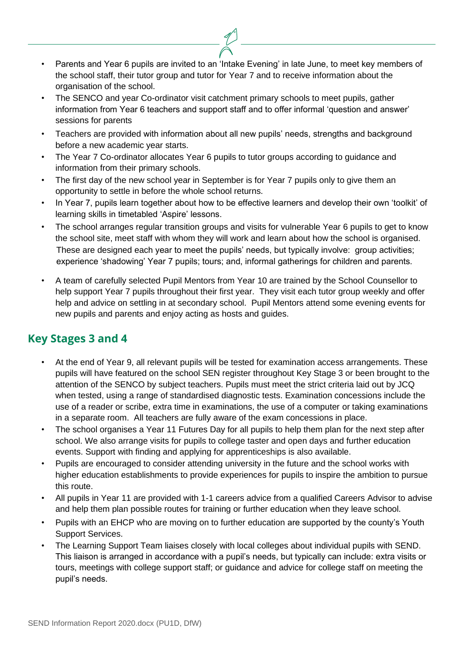- Parents and Year 6 pupils are invited to an 'Intake Evening' in late June, to meet key members of the school staff, their tutor group and tutor for Year 7 and to receive information about the organisation of the school.
- The SENCO and year Co-ordinator visit catchment primary schools to meet pupils, gather information from Year 6 teachers and support staff and to offer informal 'question and answer' sessions for parents
- Teachers are provided with information about all new pupils' needs, strengths and background before a new academic year starts.
- The Year 7 Co-ordinator allocates Year 6 pupils to tutor groups according to guidance and information from their primary schools.
- The first day of the new school year in September is for Year 7 pupils only to give them an opportunity to settle in before the whole school returns.
- In Year 7, pupils learn together about how to be effective learners and develop their own 'toolkit' of learning skills in timetabled 'Aspire' lessons.
- The school arranges regular transition groups and visits for vulnerable Year 6 pupils to get to know the school site, meet staff with whom they will work and learn about how the school is organised. These are designed each year to meet the pupils' needs, but typically involve: group activities; experience 'shadowing' Year 7 pupils; tours; and, informal gatherings for children and parents.
- A team of carefully selected Pupil Mentors from Year 10 are trained by the School Counsellor to help support Year 7 pupils throughout their first year. They visit each tutor group weekly and offer help and advice on settling in at secondary school. Pupil Mentors attend some evening events for new pupils and parents and enjoy acting as hosts and guides.

### **Key Stages 3 and 4**

- At the end of Year 9, all relevant pupils will be tested for examination access arrangements. These pupils will have featured on the school SEN register throughout Key Stage 3 or been brought to the attention of the SENCO by subject teachers. Pupils must meet the strict criteria laid out by JCQ when tested, using a range of standardised diagnostic tests. Examination concessions include the use of a reader or scribe, extra time in examinations, the use of a computer or taking examinations in a separate room. All teachers are fully aware of the exam concessions in place.
- The school organises a Year 11 Futures Day for all pupils to help them plan for the next step after school. We also arrange visits for pupils to college taster and open days and further education events. Support with finding and applying for apprenticeships is also available.
- Pupils are encouraged to consider attending university in the future and the school works with higher education establishments to provide experiences for pupils to inspire the ambition to pursue this route.
- All pupils in Year 11 are provided with 1-1 careers advice from a qualified Careers Advisor to advise and help them plan possible routes for training or further education when they leave school.
- Pupils with an EHCP who are moving on to further education are supported by the county's Youth Support Services.
- The Learning Support Team liaises closely with local colleges about individual pupils with SEND. This liaison is arranged in accordance with a pupil's needs, but typically can include: extra visits or tours, meetings with college support staff; or guidance and advice for college staff on meeting the pupil's needs.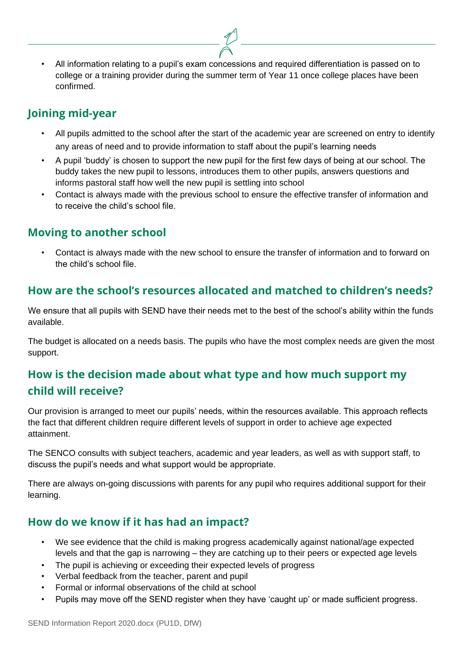• All information relating to a pupil's exam concessions and required differentiation is passed on to college or a training provider during the summer term of Year 11 once college places have been confirmed.

### **Joining mid-year**

- All pupils admitted to the school after the start of the academic year are screened on entry to identify any areas of need and to provide information to staff about the pupil's learning needs
- A pupil 'buddy' is chosen to support the new pupil for the first few days of being at our school. The buddy takes the new pupil to lessons, introduces them to other pupils, answers questions and informs pastoral staff how well the new pupil is settling into school
- Contact is always made with the previous school to ensure the effective transfer of information and to receive the child's school file.

### **Moving to another school**

• Contact is always made with the new school to ensure the transfer of information and to forward on the child's school file.

### **How are the school's resources allocated and matched to children's needs?**

We ensure that all pupils with SEND have their needs met to the best of the school's ability within the funds available.

The budget is allocated on a needs basis. The pupils who have the most complex needs are given the most support.

## **How is the decision made about what type and how much support my child will receive?**

Our provision is arranged to meet our pupils' needs, within the resources available. This approach reflects the fact that different children require different levels of support in order to achieve age expected attainment.

The SENCO consults with subject teachers, academic and year leaders, as well as with support staff, to discuss the pupil's needs and what support would be appropriate.

There are always on-going discussions with parents for any pupil who requires additional support for their learning.

### **How do we know if it has had an impact?**

- We see evidence that the child is making progress academically against national/age expected levels and that the gap is narrowing – they are catching up to their peers or expected age levels
- The pupil is achieving or exceeding their expected levels of progress
- Verbal feedback from the teacher, parent and pupil
- Formal or informal observations of the child at school
- Pupils may move off the SEND register when they have 'caught up' or made sufficient progress.